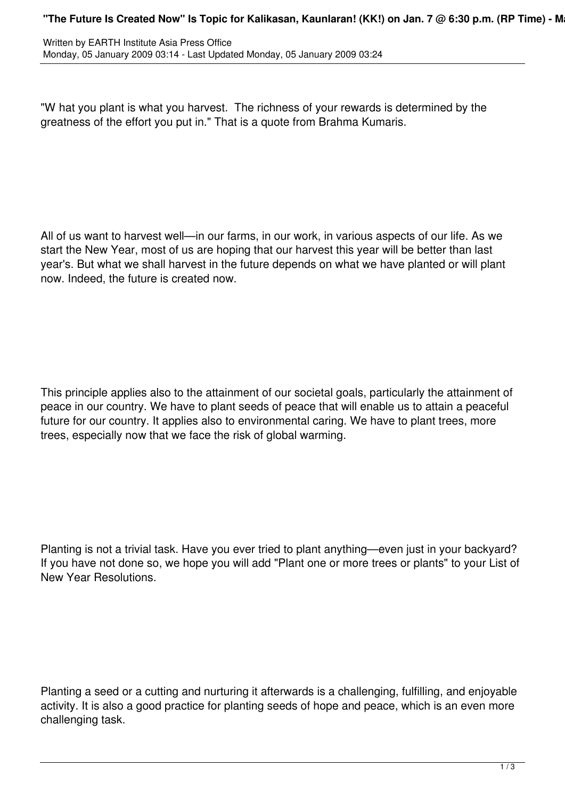"W hat you plant is what you harvest. The richness of your rewards is determined by the greatness of the effort you put in." That is a quote from Brahma Kumaris.

All of us want to harvest well—in our farms, in our work, in various aspects of our life. As we start the New Year, most of us are hoping that our harvest this year will be better than last year's. But what we shall harvest in the future depends on what we have planted or will plant now. Indeed, the future is created now.

This principle applies also to the attainment of our societal goals, particularly the attainment of peace in our country. We have to plant seeds of peace that will enable us to attain a peaceful future for our country. It applies also to environmental caring. We have to plant trees, more trees, especially now that we face the risk of global warming.

Planting is not a trivial task. Have you ever tried to plant anything—even just in your backyard? If you have not done so, we hope you will add "Plant one or more trees or plants" to your List of New Year Resolutions.

Planting a seed or a cutting and nurturing it afterwards is a challenging, fulfilling, and enjoyable activity. It is also a good practice for planting seeds of hope and peace, which is an even more challenging task.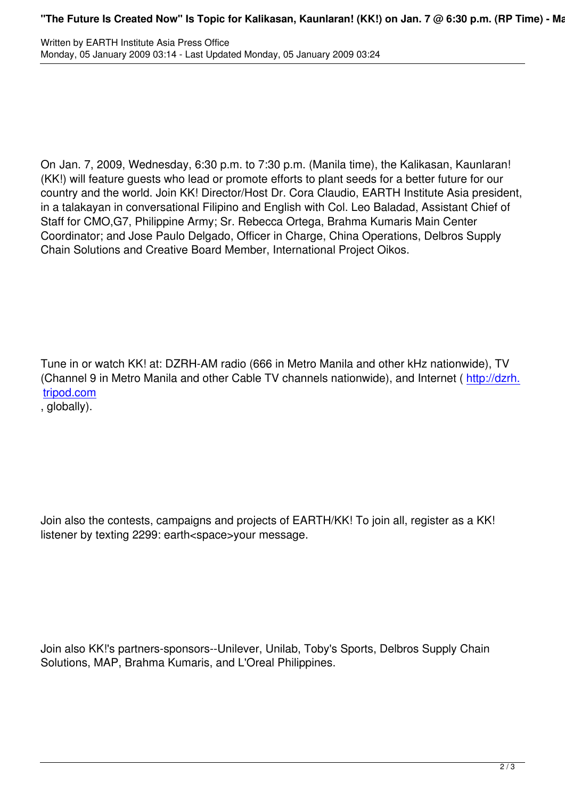Written by EARTH Institute Asia Press Officer Asia Press Officer Asia Press Officer Asia Press Officer Asia Pr

On Jan. 7, 2009, Wednesday, 6:30 p.m. to 7:30 p.m. (Manila time), the Kalikasan, Kaunlaran! (KK!) will feature guests who lead or promote efforts to plant seeds for a better future for our country and the world. Join KK! Director/Host Dr. Cora Claudio, EARTH Institute Asia president, in a talakayan in conversational Filipino and English with Col. Leo Baladad, Assistant Chief of Staff for CMO,G7, Philippine Army; Sr. Rebecca Ortega, Brahma Kumaris Main Center Coordinator; and Jose Paulo Delgado, Officer in Charge, China Operations, Delbros Supply Chain Solutions and Creative Board Member, International Project Oikos.

Tune in or watch KK! at: DZRH-AM radio (666 in Metro Manila and other kHz nationwide), TV (Channel 9 in Metro Manila and other Cable TV channels nationwide), and Internet ( http://dzrh. tripod.com

, globally).

Join also the contests, campaigns and projects of EARTH/KK! To join all, register as a KK! listener by texting 2299: earth<space>your message.

Join also KK!'s partners-sponsors--Unilever, Unilab, Toby's Sports, Delbros Supply Chain Solutions, MAP, Brahma Kumaris, and L'Oreal Philippines.